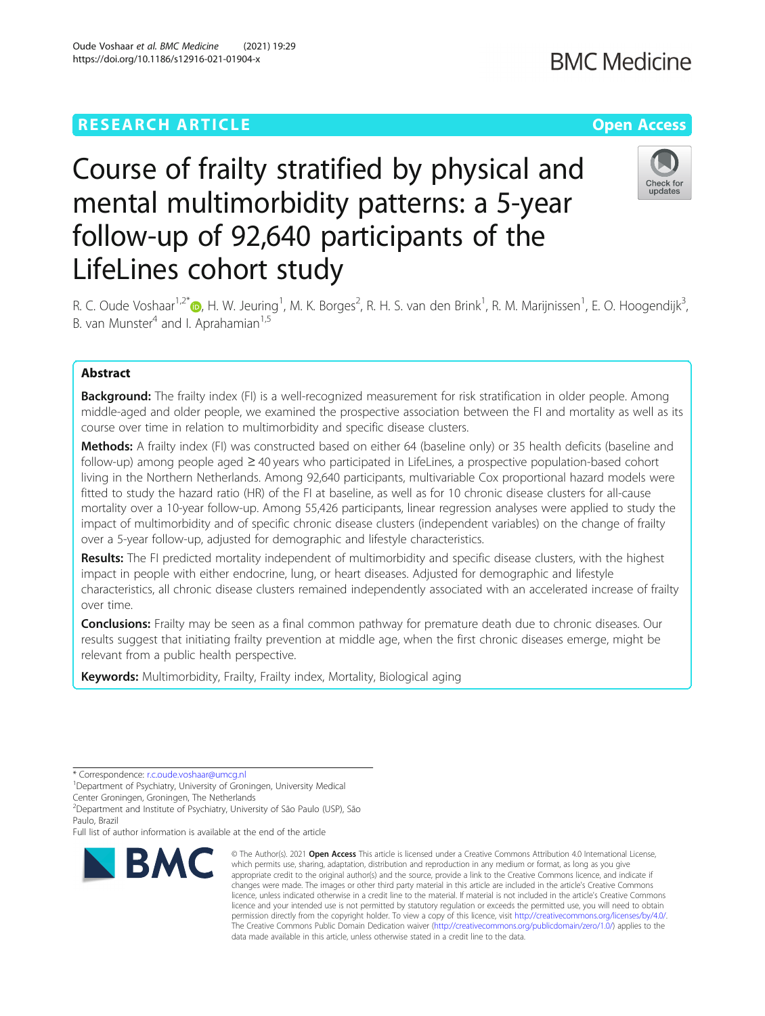# **RESEARCH ARTICLE Example 2014 12:30 The Contract of Contract ACCESS**

# Course of frailty stratified by physical and mental multimorbidity patterns: a 5-year

follow-up of 92,640 participants of the

R. C. Oude Voshaar<sup>1,2[\\*](http://orcid.org/0000-0003-1501-4774)</sup>®, H. W. Jeuring<sup>1</sup>, M. K. Borges<sup>2</sup>, R. H. S. van den Brink<sup>1</sup>, R. M. Marijnissen<sup>1</sup>, E. O. Hoogendijk<sup>3</sup> , B. van Munster<sup>4</sup> and I. Aprahamian<sup>1,5</sup>

## Abstract

**Background:** The frailty index (FI) is a well-recognized measurement for risk stratification in older people. Among middle-aged and older people, we examined the prospective association between the FI and mortality as well as its course over time in relation to multimorbidity and specific disease clusters.

Methods: A frailty index (FI) was constructed based on either 64 (baseline only) or 35 health deficits (baseline and follow-up) among people aged ≥ 40 years who participated in LifeLines, a prospective population-based cohort living in the Northern Netherlands. Among 92,640 participants, multivariable Cox proportional hazard models were fitted to study the hazard ratio (HR) of the FI at baseline, as well as for 10 chronic disease clusters for all-cause mortality over a 10-year follow-up. Among 55,426 participants, linear regression analyses were applied to study the impact of multimorbidity and of specific chronic disease clusters (independent variables) on the change of frailty over a 5-year follow-up, adjusted for demographic and lifestyle characteristics.

Results: The FI predicted mortality independent of multimorbidity and specific disease clusters, with the highest impact in people with either endocrine, lung, or heart diseases. Adjusted for demographic and lifestyle characteristics, all chronic disease clusters remained independently associated with an accelerated increase of frailty over time.

**Conclusions:** Frailty may be seen as a final common pathway for premature death due to chronic diseases. Our results suggest that initiating frailty prevention at middle age, when the first chronic diseases emerge, might be relevant from a public health perspective.

**Keywords:** Multimorbidity, Frailty, Frailty index, Mortality, Biological aging

\* Correspondence: [r.c.oude.voshaar@umcg.nl](mailto:r.c.oude.voshaar@umcg.nl) <sup>1</sup>

<sup>1</sup>Department of Psychiatry, University of Groningen, University Medical Center Groningen, Groningen, The Netherlands

2 Department and Institute of Psychiatry, University of São Paulo (USP), São Paulo, Brazil

Full list of author information is available at the end of the article

LifeLines cohort study



© The Author(s), 2021 **Open Access** This article is licensed under a Creative Commons Attribution 4.0 International License, which permits use, sharing, adaptation, distribution and reproduction in any medium or format, as long as you give appropriate credit to the original author(s) and the source, provide a link to the Creative Commons licence, and indicate if changes were made. The images or other third party material in this article are included in the article's Creative Commons licence, unless indicated otherwise in a credit line to the material. If material is not included in the article's Creative Commons licence and your intended use is not permitted by statutory regulation or exceeds the permitted use, you will need to obtain permission directly from the copyright holder. To view a copy of this licence, visit [http://creativecommons.org/licenses/by/4.0/.](http://creativecommons.org/licenses/by/4.0/) The Creative Commons Public Domain Dedication waiver [\(http://creativecommons.org/publicdomain/zero/1.0/](http://creativecommons.org/publicdomain/zero/1.0/)) applies to the data made available in this article, unless otherwise stated in a credit line to the data.



Check for undates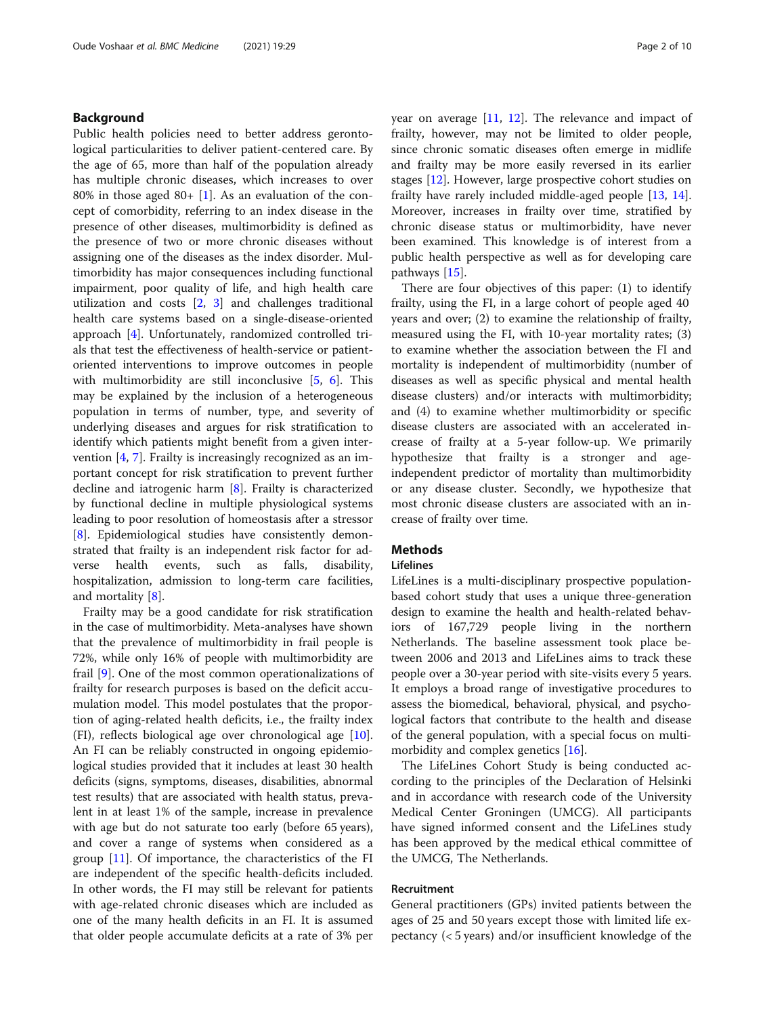#### Background

Public health policies need to better address gerontological particularities to deliver patient-centered care. By the age of 65, more than half of the population already has multiple chronic diseases, which increases to over 80% in those aged 80+  $[1]$  $[1]$ . As an evaluation of the concept of comorbidity, referring to an index disease in the presence of other diseases, multimorbidity is defined as the presence of two or more chronic diseases without assigning one of the diseases as the index disorder. Multimorbidity has major consequences including functional impairment, poor quality of life, and high health care utilization and costs [\[2](#page-8-0), [3](#page-8-0)] and challenges traditional health care systems based on a single-disease-oriented approach [[4\]](#page-8-0). Unfortunately, randomized controlled trials that test the effectiveness of health-service or patientoriented interventions to improve outcomes in people with multimorbidity are still inconclusive [\[5](#page-8-0), [6\]](#page-8-0). This may be explained by the inclusion of a heterogeneous population in terms of number, type, and severity of underlying diseases and argues for risk stratification to identify which patients might benefit from a given intervention [\[4](#page-8-0), [7](#page-8-0)]. Frailty is increasingly recognized as an important concept for risk stratification to prevent further decline and iatrogenic harm [[8\]](#page-8-0). Frailty is characterized by functional decline in multiple physiological systems leading to poor resolution of homeostasis after a stressor [[8\]](#page-8-0). Epidemiological studies have consistently demonstrated that frailty is an independent risk factor for adverse health events, such as falls, disability, hospitalization, admission to long-term care facilities, and mortality [[8\]](#page-8-0).

Frailty may be a good candidate for risk stratification in the case of multimorbidity. Meta-analyses have shown that the prevalence of multimorbidity in frail people is 72%, while only 16% of people with multimorbidity are frail [[9\]](#page-8-0). One of the most common operationalizations of frailty for research purposes is based on the deficit accumulation model. This model postulates that the proportion of aging-related health deficits, i.e., the frailty index (FI), reflects biological age over chronological age [\[10](#page-8-0)]. An FI can be reliably constructed in ongoing epidemiological studies provided that it includes at least 30 health deficits (signs, symptoms, diseases, disabilities, abnormal test results) that are associated with health status, prevalent in at least 1% of the sample, increase in prevalence with age but do not saturate too early (before 65 years), and cover a range of systems when considered as a group [[11\]](#page-8-0). Of importance, the characteristics of the FI are independent of the specific health-deficits included. In other words, the FI may still be relevant for patients with age-related chronic diseases which are included as one of the many health deficits in an FI. It is assumed that older people accumulate deficits at a rate of 3% per year on average [\[11](#page-8-0), [12\]](#page-8-0). The relevance and impact of frailty, however, may not be limited to older people, since chronic somatic diseases often emerge in midlife and frailty may be more easily reversed in its earlier stages [\[12\]](#page-8-0). However, large prospective cohort studies on frailty have rarely included middle-aged people [[13,](#page-8-0) [14](#page-8-0)]. Moreover, increases in frailty over time, stratified by chronic disease status or multimorbidity, have never been examined. This knowledge is of interest from a public health perspective as well as for developing care pathways [\[15](#page-8-0)].

There are four objectives of this paper: (1) to identify frailty, using the FI, in a large cohort of people aged 40 years and over; (2) to examine the relationship of frailty, measured using the FI, with 10-year mortality rates; (3) to examine whether the association between the FI and mortality is independent of multimorbidity (number of diseases as well as specific physical and mental health disease clusters) and/or interacts with multimorbidity; and (4) to examine whether multimorbidity or specific disease clusters are associated with an accelerated increase of frailty at a 5-year follow-up. We primarily hypothesize that frailty is a stronger and ageindependent predictor of mortality than multimorbidity or any disease cluster. Secondly, we hypothesize that most chronic disease clusters are associated with an increase of frailty over time.

### **Methods**

#### Lifelines

LifeLines is a multi-disciplinary prospective populationbased cohort study that uses a unique three-generation design to examine the health and health-related behaviors of 167,729 people living in the northern Netherlands. The baseline assessment took place between 2006 and 2013 and LifeLines aims to track these people over a 30-year period with site-visits every 5 years. It employs a broad range of investigative procedures to assess the biomedical, behavioral, physical, and psychological factors that contribute to the health and disease of the general population, with a special focus on multimorbidity and complex genetics [\[16\]](#page-8-0).

The LifeLines Cohort Study is being conducted according to the principles of the Declaration of Helsinki and in accordance with research code of the University Medical Center Groningen (UMCG). All participants have signed informed consent and the LifeLines study has been approved by the medical ethical committee of the UMCG, The Netherlands.

#### Recruitment

General practitioners (GPs) invited patients between the ages of 25 and 50 years except those with limited life expectancy (< 5 years) and/or insufficient knowledge of the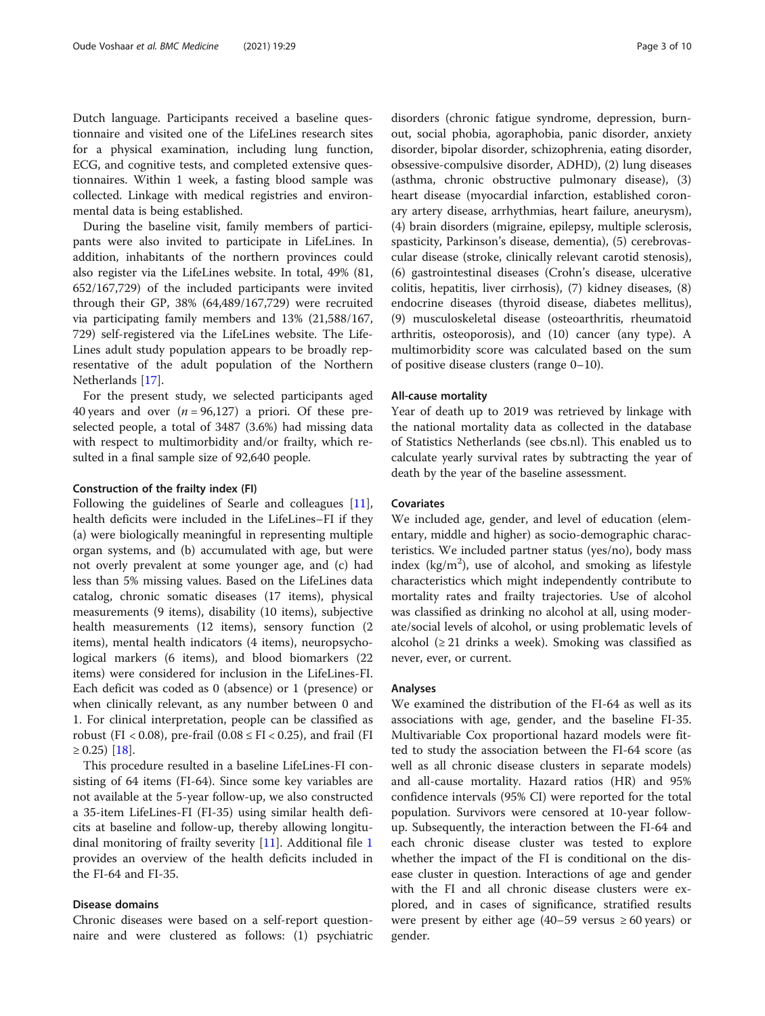Dutch language. Participants received a baseline questionnaire and visited one of the LifeLines research sites for a physical examination, including lung function, ECG, and cognitive tests, and completed extensive questionnaires. Within 1 week, a fasting blood sample was collected. Linkage with medical registries and environmental data is being established.

During the baseline visit, family members of participants were also invited to participate in LifeLines. In addition, inhabitants of the northern provinces could also register via the LifeLines website. In total, 49% (81, 652/167,729) of the included participants were invited through their GP, 38% (64,489/167,729) were recruited via participating family members and 13% (21,588/167, 729) self-registered via the LifeLines website. The Life-Lines adult study population appears to be broadly representative of the adult population of the Northern Netherlands [[17](#page-8-0)].

For the present study, we selected participants aged 40 years and over  $(n = 96,127)$  a priori. Of these preselected people, a total of 3487 (3.6%) had missing data with respect to multimorbidity and/or frailty, which resulted in a final sample size of 92,640 people.

#### Construction of the frailty index (FI)

Following the guidelines of Searle and colleagues [\[11](#page-8-0)], health deficits were included in the LifeLines–FI if they (a) were biologically meaningful in representing multiple organ systems, and (b) accumulated with age, but were not overly prevalent at some younger age, and (c) had less than 5% missing values. Based on the LifeLines data catalog, chronic somatic diseases (17 items), physical measurements (9 items), disability (10 items), subjective health measurements (12 items), sensory function (2 items), mental health indicators (4 items), neuropsychological markers (6 items), and blood biomarkers (22 items) were considered for inclusion in the LifeLines-FI. Each deficit was coded as 0 (absence) or 1 (presence) or when clinically relevant, as any number between 0 and 1. For clinical interpretation, people can be classified as robust (FI < 0.08), pre-frail (0.08  $\leq$  FI < 0.25), and frail (FI  $≥ 0.25$ ) [\[18](#page-8-0)].

This procedure resulted in a baseline LifeLines-FI consisting of 64 items (FI-64). Since some key variables are not available at the 5-year follow-up, we also constructed a 35-item LifeLines-FI (FI-35) using similar health deficits at baseline and follow-up, thereby allowing longitudinal monitoring of frailty severity [[11\]](#page-8-0). Additional file [1](#page-7-0) provides an overview of the health deficits included in the FI-64 and FI-35.

#### Disease domains

Chronic diseases were based on a self-report questionnaire and were clustered as follows: (1) psychiatric disorders (chronic fatigue syndrome, depression, burnout, social phobia, agoraphobia, panic disorder, anxiety disorder, bipolar disorder, schizophrenia, eating disorder, obsessive-compulsive disorder, ADHD), (2) lung diseases (asthma, chronic obstructive pulmonary disease), (3) heart disease (myocardial infarction, established coronary artery disease, arrhythmias, heart failure, aneurysm), (4) brain disorders (migraine, epilepsy, multiple sclerosis, spasticity, Parkinson's disease, dementia), (5) cerebrovascular disease (stroke, clinically relevant carotid stenosis), (6) gastrointestinal diseases (Crohn's disease, ulcerative colitis, hepatitis, liver cirrhosis), (7) kidney diseases, (8) endocrine diseases (thyroid disease, diabetes mellitus), (9) musculoskeletal disease (osteoarthritis, rheumatoid arthritis, osteoporosis), and (10) cancer (any type). A multimorbidity score was calculated based on the sum of positive disease clusters (range 0–10).

#### All-cause mortality

Year of death up to 2019 was retrieved by linkage with the national mortality data as collected in the database of Statistics Netherlands (see cbs.nl). This enabled us to calculate yearly survival rates by subtracting the year of death by the year of the baseline assessment.

#### **Covariates**

We included age, gender, and level of education (elementary, middle and higher) as socio-demographic characteristics. We included partner status (yes/no), body mass index ( $kg/m<sup>2</sup>$ ), use of alcohol, and smoking as lifestyle characteristics which might independently contribute to mortality rates and frailty trajectories. Use of alcohol was classified as drinking no alcohol at all, using moderate/social levels of alcohol, or using problematic levels of alcohol  $(≥ 21$  drinks a week). Smoking was classified as never, ever, or current.

#### Analyses

We examined the distribution of the FI-64 as well as its associations with age, gender, and the baseline FI-35. Multivariable Cox proportional hazard models were fitted to study the association between the FI-64 score (as well as all chronic disease clusters in separate models) and all-cause mortality. Hazard ratios (HR) and 95% confidence intervals (95% CI) were reported for the total population. Survivors were censored at 10-year followup. Subsequently, the interaction between the FI-64 and each chronic disease cluster was tested to explore whether the impact of the FI is conditional on the disease cluster in question. Interactions of age and gender with the FI and all chronic disease clusters were explored, and in cases of significance, stratified results were present by either age  $(40–59 \text{ versus } \geq 60 \text{ years})$  or gender.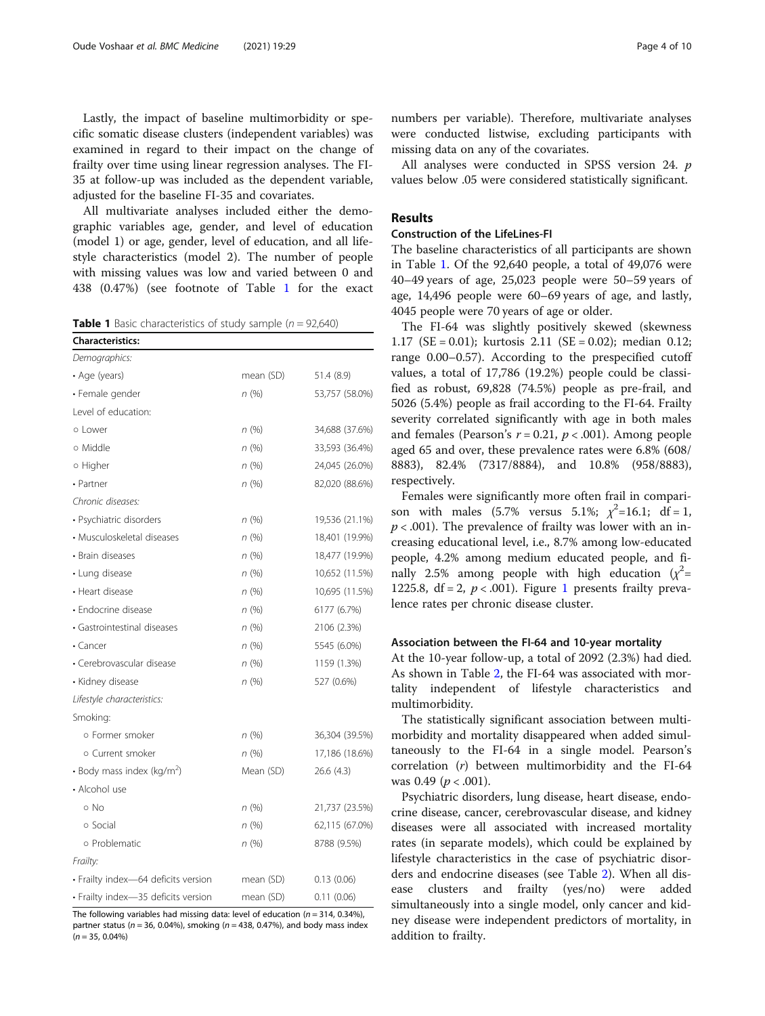Lastly, the impact of baseline multimorbidity or specific somatic disease clusters (independent variables) was examined in regard to their impact on the change of frailty over time using linear regression analyses. The FI-35 at follow-up was included as the dependent variable, adjusted for the baseline FI-35 and covariates.

All multivariate analyses included either the demographic variables age, gender, and level of education (model 1) or age, gender, level of education, and all lifestyle characteristics (model 2). The number of people with missing values was low and varied between 0 and 438 (0.47%) (see footnote of Table 1 for the exact

**Table 1** Basic characteristics of study sample ( $n = 92,640$ )

| <b>Characteristics:</b>                |           |                |  |
|----------------------------------------|-----------|----------------|--|
| Demographics:                          |           |                |  |
| • Age (years)                          | mean (SD) | 51.4 (8.9)     |  |
| • Female gender                        | n(%)      | 53,757 (58.0%) |  |
| Level of education:                    |           |                |  |
| o Lower                                | n(%)      | 34,688 (37.6%) |  |
| o Middle                               | n(%)      | 33,593 (36.4%) |  |
| o Higher                               | n(%)      | 24,045 (26.0%) |  |
| • Partner                              | n(%)      | 82,020 (88.6%) |  |
| Chronic diseases:                      |           |                |  |
| • Psychiatric disorders                | n(%)      | 19,536 (21.1%) |  |
| · Musculoskeletal diseases             | n(%)      | 18,401 (19.9%) |  |
| • Brain diseases                       | n(%)      | 18,477 (19.9%) |  |
| • Lung disease                         | n(%)      | 10,652 (11.5%) |  |
| • Heart disease                        | n(%)      | 10,695 (11.5%) |  |
| • Endocrine disease                    | n(%)      | 6177 (6.7%)    |  |
| · Gastrointestinal diseases            | n(%)      | 2106 (2.3%)    |  |
| $\cdot$ Cancer                         | n(%)      | 5545 (6.0%)    |  |
| • Cerebrovascular disease              | n(%)      | 1159 (1.3%)    |  |
| • Kidney disease                       | n(%)      | 527 (0.6%)     |  |
| Lifestyle characteristics:             |           |                |  |
| Smoking:                               |           |                |  |
| o Former smoker                        | n(%)      | 36,304 (39.5%) |  |
| o Current smoker                       | n(%)      | 17,186 (18.6%) |  |
| • Body mass index (kg/m <sup>2</sup> ) | Mean (SD) | 26.6(4.3)      |  |
| • Alcohol use                          |           |                |  |
| o No                                   | n(%)      | 21,737 (23.5%) |  |
| o Social                               | n(%)      | 62,115 (67.0%) |  |
| o Problematic                          | n(%)      | 8788 (9.5%)    |  |
| Frailty:                               |           |                |  |
| · Frailty index-64 deficits version    | mean (SD) | 0.13(0.06)     |  |
| · Frailty index-35 deficits version    | mean (SD) | 0.11(0.06)     |  |

The following variables had missing data: level of education ( $n = 314$ , 0.34%), partner status ( $n = 36$ , 0.04%), smoking ( $n = 438$ , 0.47%), and body mass index  $(n = 35, 0.04\%)$ 

numbers per variable). Therefore, multivariate analyses were conducted listwise, excluding participants with missing data on any of the covariates.

All analyses were conducted in SPSS version 24. p values below .05 were considered statistically significant.

### Results

#### Construction of the LifeLines-FI

The baseline characteristics of all participants are shown in Table 1. Of the 92,640 people, a total of 49,076 were 40–49 years of age, 25,023 people were 50–59 years of age, 14,496 people were 60–69 years of age, and lastly, 4045 people were 70 years of age or older.

The FI-64 was slightly positively skewed (skewness 1.17 (SE = 0.01); kurtosis 2.11 (SE = 0.02); median 0.12; range 0.00–0.57). According to the prespecified cutoff values, a total of 17,786 (19.2%) people could be classified as robust, 69,828 (74.5%) people as pre-frail, and 5026 (5.4%) people as frail according to the FI-64. Frailty severity correlated significantly with age in both males and females (Pearson's  $r = 0.21$ ,  $p < .001$ ). Among people aged 65 and over, these prevalence rates were 6.8% (608/ 8883), 82.4% (7317/8884), and 10.8% (958/8883), respectively.

Females were significantly more often frail in comparison with males (5.7% versus 5.1%;  $\chi^2 = 16.1$ ; df = 1,  $p < .001$ ). The prevalence of frailty was lower with an increasing educational level, i.e., 8.7% among low-educated people, 4.2% among medium educated people, and finally 2.5% among people with high education  $(x^2 =$ [1](#page-4-0)225.8, df = 2,  $p < .001$ ). Figure 1 presents frailty prevalence rates per chronic disease cluster.

#### Association between the FI-64 and 10-year mortality

At the 10-year follow-up, a total of 2092 (2.3%) had died. As shown in Table [2,](#page-5-0) the FI-64 was associated with mortality independent of lifestyle characteristics and multimorbidity.

The statistically significant association between multimorbidity and mortality disappeared when added simultaneously to the FI-64 in a single model. Pearson's correlation  $(r)$  between multimorbidity and the FI-64 was 0.49 ( $p < .001$ ).

Psychiatric disorders, lung disease, heart disease, endocrine disease, cancer, cerebrovascular disease, and kidney diseases were all associated with increased mortality rates (in separate models), which could be explained by lifestyle characteristics in the case of psychiatric disorders and endocrine diseases (see Table [2](#page-5-0)). When all disease clusters and frailty (yes/no) were added simultaneously into a single model, only cancer and kidney disease were independent predictors of mortality, in addition to frailty.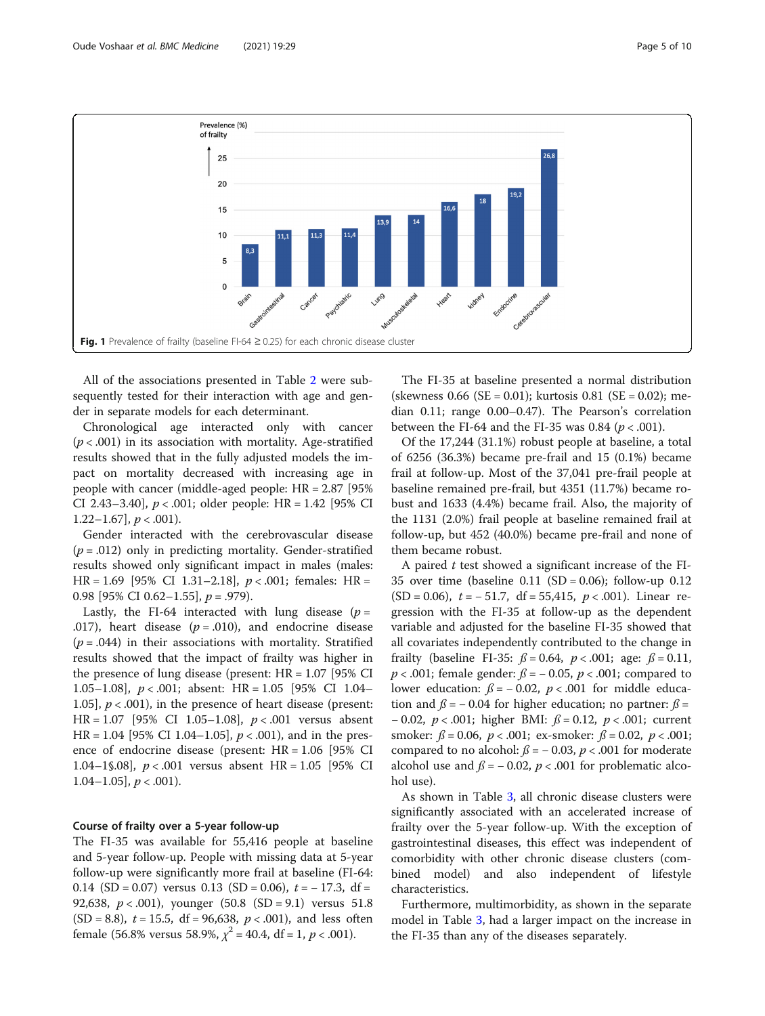<span id="page-4-0"></span>

All of the associations presented in Table [2](#page-5-0) were subsequently tested for their interaction with age and gender in separate models for each determinant.

Chronological age interacted only with cancer  $(p < .001)$  in its association with mortality. Age-stratified results showed that in the fully adjusted models the impact on mortality decreased with increasing age in people with cancer (middle-aged people: HR = 2.87 [95% CI 2.43–3.40],  $p < .001$ ; older people: HR = 1.42 [95% CI 1.22–1.67],  $p < .001$ ).

Gender interacted with the cerebrovascular disease  $(p=.012)$  only in predicting mortality. Gender-stratified results showed only significant impact in males (males: HR = 1.69 [95% CI 1.31-2.18],  $p < .001$ ; females: HR = 0.98 [95% CI 0.62–1.55],  $p = .979$ .

Lastly, the FI-64 interacted with lung disease  $(p =$ .017), heart disease  $(p=.010)$ , and endocrine disease  $(p = .044)$  in their associations with mortality. Stratified results showed that the impact of frailty was higher in the presence of lung disease (present:  $HR = 1.07$  [95% CI 1.05–1.08],  $p < .001$ ; absent: HR = 1.05 [95% CI 1.04– 1.05],  $p < .001$ ), in the presence of heart disease (present: HR =  $1.07$  [95% CI 1.05–1.08],  $p < .001$  versus absent  $HR = 1.04$  [95% CI 1.04–1.05],  $p < .001$ ), and in the presence of endocrine disease (present: HR = 1.06 [95% CI 1.04–1§.08], p < .001 versus absent HR = 1.05 [95% CI 1.04–1.05],  $p < .001$ ).

### Course of frailty over a 5-year follow-up

The FI-35 was available for 55,416 people at baseline and 5-year follow-up. People with missing data at 5-year follow-up were significantly more frail at baseline (FI-64: 0.14 (SD = 0.07) versus 0.13 (SD = 0.06),  $t = -17.3$ , df = 92,638,  $p < .001$ ), younger (50.8 (SD = 9.1) versus 51.8  $(SD = 8.8)$ ,  $t = 15.5$ , df = 96,638,  $p < .001$ ), and less often female (56.8% versus 58.9%,  $\chi^2$  = 40.4, df = 1, p < .001).

The FI-35 at baseline presented a normal distribution (skewness 0.66 (SE = 0.01); kurtosis 0.81 (SE = 0.02); median 0.11; range 0.00–0.47). The Pearson's correlation between the FI-64 and the FI-35 was 0.84 ( $p < .001$ ).

Of the 17,244 (31.1%) robust people at baseline, a total of 6256 (36.3%) became pre-frail and 15 (0.1%) became frail at follow-up. Most of the 37,041 pre-frail people at baseline remained pre-frail, but 4351 (11.7%) became robust and 1633 (4.4%) became frail. Also, the majority of the 1131 (2.0%) frail people at baseline remained frail at follow-up, but 452 (40.0%) became pre-frail and none of them became robust.

A paired  $t$  test showed a significant increase of the FI-35 over time (baseline  $0.11$  (SD = 0.06); follow-up  $0.12$  $(SD = 0.06)$ ,  $t = -51.7$ , df = 55,415,  $p < .001$ ). Linear regression with the FI-35 at follow-up as the dependent variable and adjusted for the baseline FI-35 showed that all covariates independently contributed to the change in frailty (baseline FI-35:  $\beta = 0.64$ ,  $p < .001$ ; age:  $\beta = 0.11$ ,  $p < .001$ ; female gender:  $\beta = -0.05$ ,  $p < .001$ ; compared to lower education:  $\beta$  = − 0.02, *p* < .001 for middle education and  $\beta$  = − 0.04 for higher education; no partner:  $\beta$  = − 0.02, p < .001; higher BMI: ß = 0.12, p < .001; current smoker:  $\beta = 0.06$ ,  $p < .001$ ; ex-smoker:  $\beta = 0.02$ ,  $p < .001$ ; compared to no alcohol:  $\beta$  = -0.03, p < .001 for moderate alcohol use and  $\beta = -0.02$ ,  $p < .001$  for problematic alcohol use).

As shown in Table [3,](#page-6-0) all chronic disease clusters were significantly associated with an accelerated increase of frailty over the 5-year follow-up. With the exception of gastrointestinal diseases, this effect was independent of comorbidity with other chronic disease clusters (combined model) and also independent of lifestyle characteristics.

Furthermore, multimorbidity, as shown in the separate model in Table [3,](#page-6-0) had a larger impact on the increase in the FI-35 than any of the diseases separately.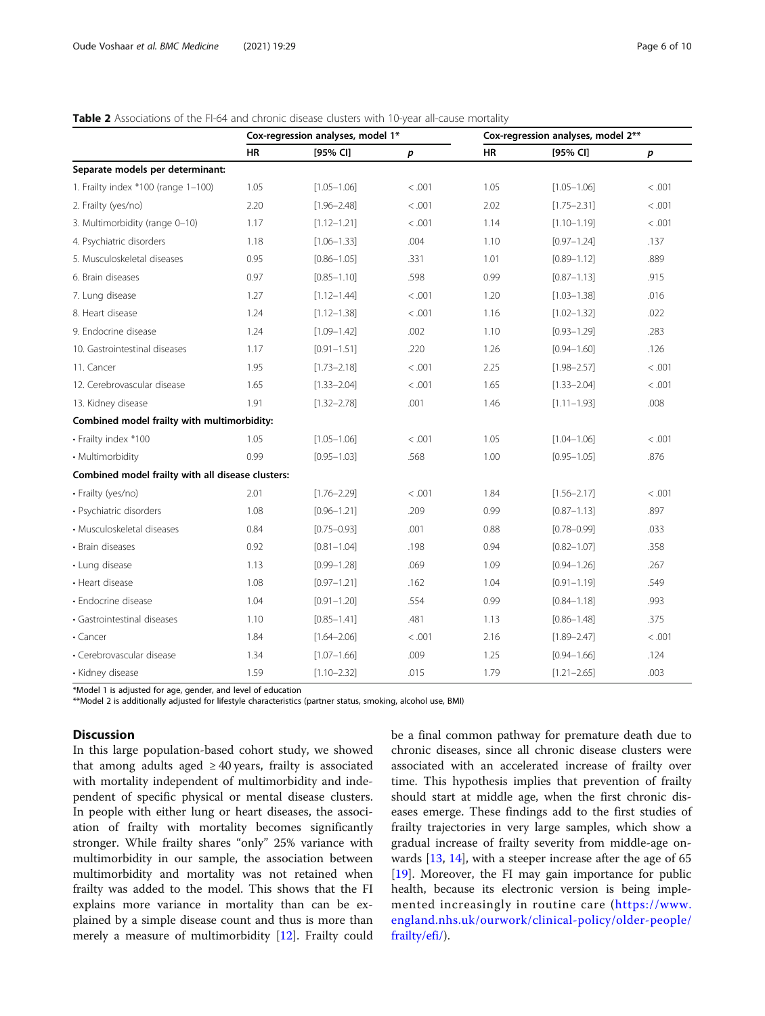## <span id="page-5-0"></span>Table 2 Associations of the FI-64 and chronic disease clusters with 10-year all-cause mortality

|                                                   |      | Cox-regression analyses, model 1* |                  |      | Cox-regression analyses, model 2** |                  |  |  |
|---------------------------------------------------|------|-----------------------------------|------------------|------|------------------------------------|------------------|--|--|
|                                                   | HR   | [95% CI]                          | $\boldsymbol{p}$ | HR   | [95% CI]                           | $\boldsymbol{p}$ |  |  |
| Separate models per determinant:                  |      |                                   |                  |      |                                    |                  |  |  |
| 1. Frailty index *100 (range 1-100)               | 1.05 | $[1.05 - 1.06]$                   | < .001           | 1.05 | $[1.05 - 1.06]$                    | < .001           |  |  |
| 2. Frailty (yes/no)                               | 2.20 | $[1.96 - 2.48]$                   | < .001           | 2.02 | $[1.75 - 2.31]$                    | < .001           |  |  |
| 3. Multimorbidity (range 0-10)                    | 1.17 | $[1.12 - 1.21]$                   | < 0.001          | 1.14 | $[1.10 - 1.19]$                    | < 0.001          |  |  |
| 4. Psychiatric disorders                          | 1.18 | $[1.06 - 1.33]$                   | .004             | 1.10 | $[0.97 - 1.24]$                    | .137             |  |  |
| 5. Musculoskeletal diseases                       | 0.95 | $[0.86 - 1.05]$                   | .331             | 1.01 | $[0.89 - 1.12]$                    | .889             |  |  |
| 6. Brain diseases                                 | 0.97 | $[0.85 - 1.10]$                   | .598             | 0.99 | $[0.87 - 1.13]$                    | .915             |  |  |
| 7. Lung disease                                   | 1.27 | $[1.12 - 1.44]$                   | < .001           | 1.20 | $[1.03 - 1.38]$                    | .016             |  |  |
| 8. Heart disease                                  | 1.24 | $[1.12 - 1.38]$                   | < 0.001          | 1.16 | $[1.02 - 1.32]$                    | .022             |  |  |
| 9. Endocrine disease                              | 1.24 | $[1.09 - 1.42]$                   | .002             | 1.10 | $[0.93 - 1.29]$                    | .283             |  |  |
| 10. Gastrointestinal diseases                     | 1.17 | $[0.91 - 1.51]$                   | .220             | 1.26 | $[0.94 - 1.60]$                    | .126             |  |  |
| 11. Cancer                                        | 1.95 | $[1.73 - 2.18]$                   | < .001           | 2.25 | $[1.98 - 2.57]$                    | < 0.001          |  |  |
| 12. Cerebrovascular disease                       | 1.65 | $[1.33 - 2.04]$                   | < .001           | 1.65 | $[1.33 - 2.04]$                    | < .001           |  |  |
| 13. Kidney disease                                | 1.91 | $[1.32 - 2.78]$                   | .001             | 1.46 | $[1.11 - 1.93]$                    | .008             |  |  |
| Combined model frailty with multimorbidity:       |      |                                   |                  |      |                                    |                  |  |  |
| • Frailty index *100                              | 1.05 | $[1.05 - 1.06]$                   | < .001           | 1.05 | $[1.04 - 1.06]$                    | < .001           |  |  |
| • Multimorbidity                                  | 0.99 | $[0.95 - 1.03]$                   | .568             | 1.00 | $[0.95 - 1.05]$                    | .876             |  |  |
| Combined model frailty with all disease clusters: |      |                                   |                  |      |                                    |                  |  |  |
| • Frailty (yes/no)                                | 2.01 | $[1.76 - 2.29]$                   | < .001           | 1.84 | $[1.56 - 2.17]$                    | < .001           |  |  |
| • Psychiatric disorders                           | 1.08 | $[0.96 - 1.21]$                   | .209             | 0.99 | $[0.87 - 1.13]$                    | .897             |  |  |
| • Musculoskeletal diseases                        | 0.84 | $[0.75 - 0.93]$                   | .001             | 0.88 | $[0.78 - 0.99]$                    | .033             |  |  |
| • Brain diseases                                  | 0.92 | $[0.81 - 1.04]$                   | .198             | 0.94 | $[0.82 - 1.07]$                    | .358             |  |  |
| • Lung disease                                    | 1.13 | $[0.99 - 1.28]$                   | .069             | 1.09 | $[0.94 - 1.26]$                    | .267             |  |  |
| • Heart disease                                   | 1.08 | $[0.97 - 1.21]$                   | .162             | 1.04 | $[0.91 - 1.19]$                    | .549             |  |  |
| • Endocrine disease                               | 1.04 | $[0.91 - 1.20]$                   | .554             | 0.99 | $[0.84 - 1.18]$                    | .993             |  |  |
| · Gastrointestinal diseases                       | 1.10 | $[0.85 - 1.41]$                   | .481             | 1.13 | $[0.86 - 1.48]$                    | .375             |  |  |
| $\cdot$ Cancer                                    | 1.84 | $[1.64 - 2.06]$                   | < .001           | 2.16 | $[1.89 - 2.47]$                    | < 0.001          |  |  |
| • Cerebrovascular disease                         | 1.34 | $[1.07 - 1.66]$                   | .009             | 1.25 | $[0.94 - 1.66]$                    | .124             |  |  |
| • Kidney disease                                  | 1.59 | $[1.10 - 2.32]$                   | .015             | 1.79 | $[1.21 - 2.65]$                    | .003             |  |  |

\*Model 1 is adjusted for age, gender, and level of education

\*\*Model 2 is additionally adjusted for lifestyle characteristics (partner status, smoking, alcohol use, BMI)

#### **Discussion**

In this large population-based cohort study, we showed that among adults aged  $\geq$  40 years, frailty is associated with mortality independent of multimorbidity and independent of specific physical or mental disease clusters. In people with either lung or heart diseases, the association of frailty with mortality becomes significantly stronger. While frailty shares "only" 25% variance with multimorbidity in our sample, the association between multimorbidity and mortality was not retained when frailty was added to the model. This shows that the FI explains more variance in mortality than can be explained by a simple disease count and thus is more than merely a measure of multimorbidity [\[12\]](#page-8-0). Frailty could be a final common pathway for premature death due to chronic diseases, since all chronic disease clusters were associated with an accelerated increase of frailty over time. This hypothesis implies that prevention of frailty should start at middle age, when the first chronic diseases emerge. These findings add to the first studies of frailty trajectories in very large samples, which show a gradual increase of frailty severity from middle-age onwards [[13,](#page-8-0) [14\]](#page-8-0), with a steeper increase after the age of 65 [[19\]](#page-8-0). Moreover, the FI may gain importance for public health, because its electronic version is being implemented increasingly in routine care ([https://www.](https://www.england.nhs.uk/ourwork/clinical-policy/older-people/frailty/efi/) [england.nhs.uk/ourwork/clinical-policy/older-people/](https://www.england.nhs.uk/ourwork/clinical-policy/older-people/frailty/efi/) [frailty/efi/](https://www.england.nhs.uk/ourwork/clinical-policy/older-people/frailty/efi/)).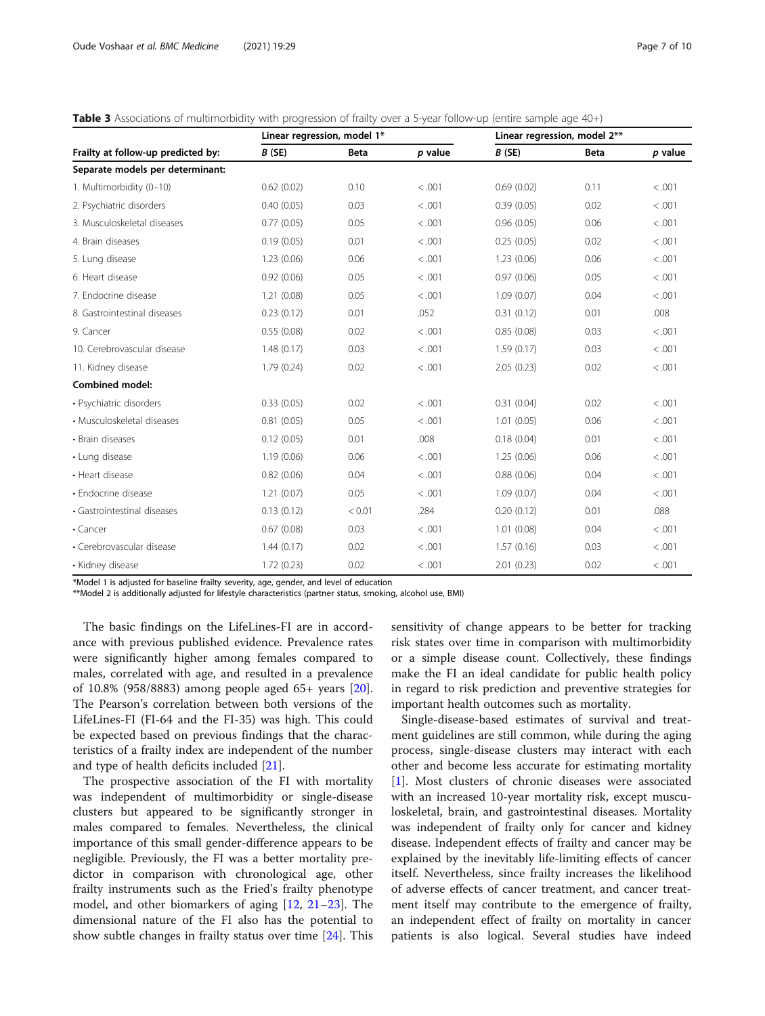<span id="page-6-0"></span>

| <b>Table 3</b> Associations of multimorbidity with progression of frailty over a 5-year follow-up (entire sample age 40+) |  |  |  |  |
|---------------------------------------------------------------------------------------------------------------------------|--|--|--|--|
|---------------------------------------------------------------------------------------------------------------------------|--|--|--|--|

| Frailty at follow-up predicted by: | Linear regression, model 1* |             |         | Linear regression, model 2** |             |         |
|------------------------------------|-----------------------------|-------------|---------|------------------------------|-------------|---------|
|                                    | B(SE)                       | <b>Beta</b> | p value | B(SE)                        | <b>Beta</b> | p value |
| Separate models per determinant:   |                             |             |         |                              |             |         |
| 1. Multimorbidity (0-10)           | 0.62(0.02)                  | 0.10        | < 0.001 | 0.69(0.02)                   | 0.11        | < 0.001 |
| 2. Psychiatric disorders           | 0.40(0.05)                  | 0.03        | < .001  | 0.39(0.05)                   | 0.02        | < .001  |
| 3. Musculoskeletal diseases        | 0.77(0.05)                  | 0.05        | < 0.001 | 0.96(0.05)                   | 0.06        | < .001  |
| 4. Brain diseases                  | 0.19(0.05)                  | 0.01        | < .001  | 0.25(0.05)                   | 0.02        | < .001  |
| 5. Lung disease                    | 1.23(0.06)                  | 0.06        | < 0.001 | 1.23(0.06)                   | 0.06        | < .001  |
| 6. Heart disease                   | 0.92(0.06)                  | 0.05        | < .001  | 0.97(0.06)                   | 0.05        | < .001  |
| 7. Endocrine disease               | 1.21(0.08)                  | 0.05        | < 0.001 | 1.09(0.07)                   | 0.04        | < .001  |
| 8. Gastrointestinal diseases       | 0.23(0.12)                  | 0.01        | .052    | 0.31(0.12)                   | 0.01        | .008    |
| 9. Cancer                          | 0.55(0.08)                  | 0.02        | < 0.001 | 0.85(0.08)                   | 0.03        | < .001  |
| 10. Cerebrovascular disease        | 1.48(0.17)                  | 0.03        | < 0.001 | 1.59(0.17)                   | 0.03        | < .001  |
| 11. Kidney disease                 | 1.79(0.24)                  | 0.02        | < 0.001 | 2.05(0.23)                   | 0.02        | < .001  |
| <b>Combined model:</b>             |                             |             |         |                              |             |         |
| · Psychiatric disorders            | 0.33(0.05)                  | 0.02        | < .001  | 0.31(0.04)                   | 0.02        | < .001  |
| • Musculoskeletal diseases         | 0.81(0.05)                  | 0.05        | < .001  | 1.01(0.05)                   | 0.06        | < .001  |
| • Brain diseases                   | 0.12(0.05)                  | 0.01        | .008    | 0.18(0.04)                   | 0.01        | < .001  |
| • Lung disease                     | 1.19(0.06)                  | 0.06        | < .001  | 1.25(0.06)                   | 0.06        | < .001  |
| • Heart disease                    | 0.82(0.06)                  | 0.04        | < .001  | 0.88(0.06)                   | 0.04        | < .001  |
| · Endocrine disease                | 1.21(0.07)                  | 0.05        | < .001  | 1.09(0.07)                   | 0.04        | < .001  |
| · Gastrointestinal diseases        | 0.13(0.12)                  | < 0.01      | .284    | 0.20(0.12)                   | 0.01        | .088    |
| $\cdot$ Cancer                     | 0.67(0.08)                  | 0.03        | < 0.001 | 1.01(0.08)                   | 0.04        | < .001  |
| • Cerebrovascular disease          | 1.44(0.17)                  | 0.02        | < 0.001 | 1.57(0.16)                   | 0.03        | < .001  |
| • Kidney disease                   | 1.72(0.23)                  | 0.02        | < 0.001 | 2.01(0.23)                   | 0.02        | < .001  |

\*Model 1 is adjusted for baseline frailty severity, age, gender, and level of education

\*\*Model 2 is additionally adjusted for lifestyle characteristics (partner status, smoking, alcohol use, BMI)

The basic findings on the LifeLines-FI are in accordance with previous published evidence. Prevalence rates were significantly higher among females compared to males, correlated with age, and resulted in a prevalence of 10.8% (958/8883) among people aged 65+ years [\[20](#page-8-0)]. The Pearson's correlation between both versions of the LifeLines-FI (FI-64 and the FI-35) was high. This could be expected based on previous findings that the characteristics of a frailty index are independent of the number and type of health deficits included [[21\]](#page-8-0).

The prospective association of the FI with mortality was independent of multimorbidity or single-disease clusters but appeared to be significantly stronger in males compared to females. Nevertheless, the clinical importance of this small gender-difference appears to be negligible. Previously, the FI was a better mortality predictor in comparison with chronological age, other frailty instruments such as the Fried's frailty phenotype model, and other biomarkers of aging [[12](#page-8-0), [21](#page-8-0)–[23\]](#page-8-0). The dimensional nature of the FI also has the potential to show subtle changes in frailty status over time [\[24\]](#page-8-0). This

sensitivity of change appears to be better for tracking risk states over time in comparison with multimorbidity or a simple disease count. Collectively, these findings make the FI an ideal candidate for public health policy in regard to risk prediction and preventive strategies for important health outcomes such as mortality.

Single-disease-based estimates of survival and treatment guidelines are still common, while during the aging process, single-disease clusters may interact with each other and become less accurate for estimating mortality [[1\]](#page-8-0). Most clusters of chronic diseases were associated with an increased 10-year mortality risk, except musculoskeletal, brain, and gastrointestinal diseases. Mortality was independent of frailty only for cancer and kidney disease. Independent effects of frailty and cancer may be explained by the inevitably life-limiting effects of cancer itself. Nevertheless, since frailty increases the likelihood of adverse effects of cancer treatment, and cancer treatment itself may contribute to the emergence of frailty, an independent effect of frailty on mortality in cancer patients is also logical. Several studies have indeed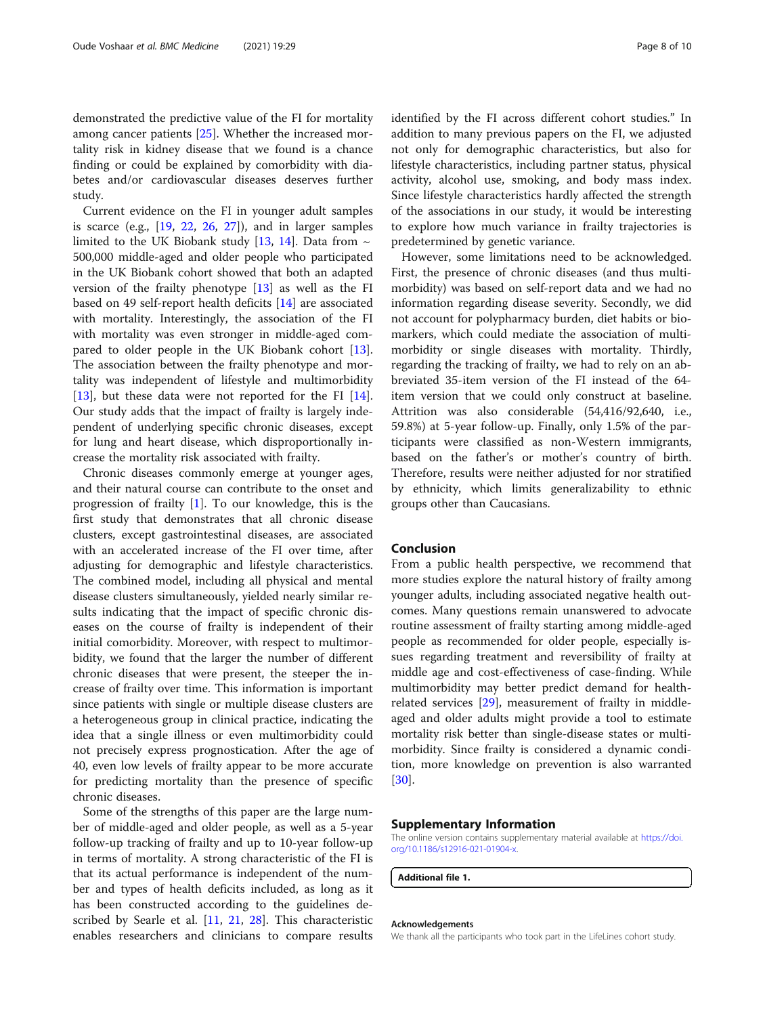<span id="page-7-0"></span>demonstrated the predictive value of the FI for mortality among cancer patients [[25](#page-8-0)]. Whether the increased mortality risk in kidney disease that we found is a chance finding or could be explained by comorbidity with diabetes and/or cardiovascular diseases deserves further study.

Current evidence on the FI in younger adult samples is scarce (e.g.,  $[19, 22, 26, 27]$  $[19, 22, 26, 27]$  $[19, 22, 26, 27]$  $[19, 22, 26, 27]$  $[19, 22, 26, 27]$  $[19, 22, 26, 27]$  $[19, 22, 26, 27]$  $[19, 22, 26, 27]$ ), and in larger samples limited to the UK Biobank study [\[13](#page-8-0), [14\]](#page-8-0). Data from  $\sim$ 500,000 middle-aged and older people who participated in the UK Biobank cohort showed that both an adapted version of the frailty phenotype [[13\]](#page-8-0) as well as the FI based on 49 self-report health deficits [[14\]](#page-8-0) are associated with mortality. Interestingly, the association of the FI with mortality was even stronger in middle-aged compared to older people in the UK Biobank cohort [\[13](#page-8-0)]. The association between the frailty phenotype and mortality was independent of lifestyle and multimorbidity [[13\]](#page-8-0), but these data were not reported for the FI [\[14](#page-8-0)]. Our study adds that the impact of frailty is largely independent of underlying specific chronic diseases, except for lung and heart disease, which disproportionally increase the mortality risk associated with frailty.

Chronic diseases commonly emerge at younger ages, and their natural course can contribute to the onset and progression of frailty [[1\]](#page-8-0). To our knowledge, this is the first study that demonstrates that all chronic disease clusters, except gastrointestinal diseases, are associated with an accelerated increase of the FI over time, after adjusting for demographic and lifestyle characteristics. The combined model, including all physical and mental disease clusters simultaneously, yielded nearly similar results indicating that the impact of specific chronic diseases on the course of frailty is independent of their initial comorbidity. Moreover, with respect to multimorbidity, we found that the larger the number of different chronic diseases that were present, the steeper the increase of frailty over time. This information is important since patients with single or multiple disease clusters are a heterogeneous group in clinical practice, indicating the idea that a single illness or even multimorbidity could not precisely express prognostication. After the age of 40, even low levels of frailty appear to be more accurate for predicting mortality than the presence of specific chronic diseases.

Some of the strengths of this paper are the large number of middle-aged and older people, as well as a 5-year follow-up tracking of frailty and up to 10-year follow-up in terms of mortality. A strong characteristic of the FI is that its actual performance is independent of the number and types of health deficits included, as long as it has been constructed according to the guidelines described by Searle et al. [\[11](#page-8-0), [21,](#page-8-0) [28\]](#page-8-0). This characteristic enables researchers and clinicians to compare results identified by the FI across different cohort studies." In addition to many previous papers on the FI, we adjusted not only for demographic characteristics, but also for lifestyle characteristics, including partner status, physical activity, alcohol use, smoking, and body mass index. Since lifestyle characteristics hardly affected the strength of the associations in our study, it would be interesting to explore how much variance in frailty trajectories is predetermined by genetic variance.

However, some limitations need to be acknowledged. First, the presence of chronic diseases (and thus multimorbidity) was based on self-report data and we had no information regarding disease severity. Secondly, we did not account for polypharmacy burden, diet habits or biomarkers, which could mediate the association of multimorbidity or single diseases with mortality. Thirdly, regarding the tracking of frailty, we had to rely on an abbreviated 35-item version of the FI instead of the 64 item version that we could only construct at baseline. Attrition was also considerable (54,416/92,640, i.e., 59.8%) at 5-year follow-up. Finally, only 1.5% of the participants were classified as non-Western immigrants, based on the father's or mother's country of birth. Therefore, results were neither adjusted for nor stratified by ethnicity, which limits generalizability to ethnic groups other than Caucasians.

#### Conclusion

From a public health perspective, we recommend that more studies explore the natural history of frailty among younger adults, including associated negative health outcomes. Many questions remain unanswered to advocate routine assessment of frailty starting among middle-aged people as recommended for older people, especially issues regarding treatment and reversibility of frailty at middle age and cost-effectiveness of case-finding. While multimorbidity may better predict demand for healthrelated services [[29\]](#page-9-0), measurement of frailty in middleaged and older adults might provide a tool to estimate mortality risk better than single-disease states or multimorbidity. Since frailty is considered a dynamic condition, more knowledge on prevention is also warranted [[30\]](#page-9-0).

#### Supplementary Information

The online version contains supplementary material available at [https://doi.](https://doi.org/10.1186/s12916-021-01904-x) [org/10.1186/s12916-021-01904-x](https://doi.org/10.1186/s12916-021-01904-x).

Additional file 1.

#### Acknowledgements

We thank all the participants who took part in the LifeLines cohort study.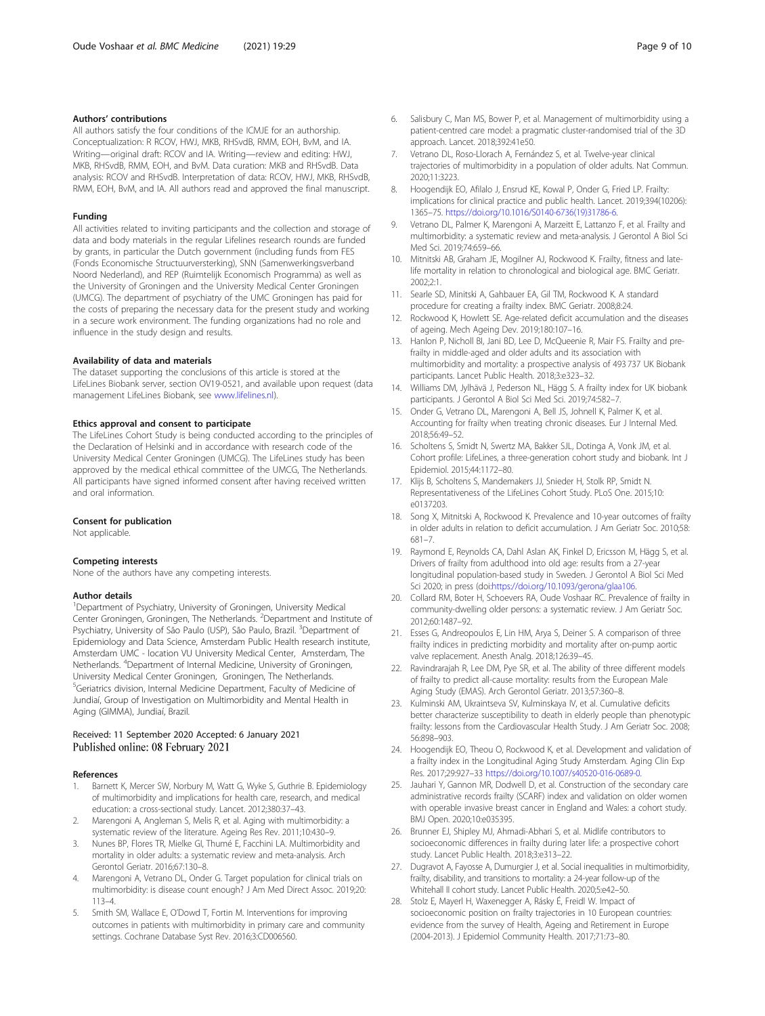#### <span id="page-8-0"></span>Authors' contributions

All authors satisfy the four conditions of the ICMJE for an authorship. Conceptualization: R RCOV, HWJ, MKB, RHSvdB, RMM, EOH, BvM, and IA. Writing—original draft: RCOV and IA. Writing—review and editing: HWJ, MKB, RHSvdB, RMM, EOH, and BvM. Data curation: MKB and RHSvdB. Data analysis: RCOV and RHSvdB. Interpretation of data: RCOV, HWJ, MKB, RHSvdB, RMM, EOH, BvM, and IA. All authors read and approved the final manuscript.

#### Funding

All activities related to inviting participants and the collection and storage of data and body materials in the regular Lifelines research rounds are funded by grants, in particular the Dutch government (including funds from FES (Fonds Economische Structuurversterking), SNN (Samenwerkingsverband Noord Nederland), and REP (Ruimtelijk Economisch Programma) as well as the University of Groningen and the University Medical Center Groningen (UMCG). The department of psychiatry of the UMC Groningen has paid for the costs of preparing the necessary data for the present study and working in a secure work environment. The funding organizations had no role and influence in the study design and results.

#### Availability of data and materials

The dataset supporting the conclusions of this article is stored at the LifeLines Biobank server, section OV19-0521, and available upon request (data management LifeLines Biobank, see [www.lifelines.nl](http://www.lifelines.nl)).

#### Ethics approval and consent to participate

The LifeLines Cohort Study is being conducted according to the principles of the Declaration of Helsinki and in accordance with research code of the University Medical Center Groningen (UMCG). The LifeLines study has been approved by the medical ethical committee of the UMCG, The Netherlands. All participants have signed informed consent after having received written and oral information.

#### Consent for publication

Not applicable.

#### Competing interests

None of the authors have any competing interests.

#### Author details

<sup>1</sup>Department of Psychiatry, University of Groningen, University Medical Center Groningen, Groningen, The Netherlands. <sup>2</sup> Department and Institute of Psychiatry, University of São Paulo (USP), São Paulo, Brazil. <sup>3</sup>Department of Epidemiology and Data Science, Amsterdam Public Health research institute, Amsterdam UMC - location VU University Medical Center, Amsterdam, The Netherlands. <sup>4</sup> Department of Internal Medicine, University of Groningen, University Medical Center Groningen, Groningen, The Netherlands. <sup>5</sup>Geriatrics division, Internal Medicine Department, Faculty of Medicine of Jundiaí, Group of Investigation on Multimorbidity and Mental Health in Aging (GIMMA), Jundiaí, Brazil.

#### Received: 11 September 2020 Accepted: 6 January 2021 Published online: 08 February 2021

#### References

- 1. Barnett K, Mercer SW, Norbury M, Watt G, Wyke S, Guthrie B. Epidemiology of multimorbidity and implications for health care, research, and medical education: a cross-sectional study. Lancet. 2012;380:37–43.
- Marengoni A, Angleman S, Melis R, et al. Aging with multimorbidity: a systematic review of the literature. Ageing Res Rev. 2011;10:430–9.
- 3. Nunes BP, Flores TR, Mielke GI, Thumé E, Facchini LA. Multimorbidity and mortality in older adults: a systematic review and meta-analysis. Arch Gerontol Geriatr. 2016;67:130–8.
- 4. Marengoni A, Vetrano DL, Onder G. Target population for clinical trials on multimorbidity: is disease count enough? J Am Med Direct Assoc. 2019;20: 113–4.
- 5. Smith SM, Wallace E, O'Dowd T, Fortin M. Interventions for improving outcomes in patients with multimorbidity in primary care and community settings. Cochrane Database Syst Rev. 2016;3:CD006560.
- 6. Salisbury C, Man MS, Bower P, et al. Management of multimorbidity using a patient-centred care model: a pragmatic cluster-randomised trial of the 3D approach. Lancet. 2018;392:41e50.
- Vetrano DL, Roso-Llorach A, Fernández S, et al. Twelve-year clinical trajectories of multimorbidity in a population of older adults. Nat Commun. 2020;11:3223.
- 8. Hoogendijk EO, Afilalo J, Ensrud KE, Kowal P, Onder G, Fried LP. Frailty: implications for clinical practice and public health. Lancet. 2019;394(10206): 1365–75. [https://doi.org/10.1016/S0140-6736\(19\)31786-6](https://doi.org/10.1016/S0140-6736(19)31786-6).
- 9. Vetrano DL, Palmer K, Marengoni A, Marzeitt E, Lattanzo F, et al. Frailty and multimorbidity: a systematic review and meta-analysis. J Gerontol A Biol Sci Med Sci. 2019;74:659–66.
- 10. Mitnitski AB, Graham JE, Mogilner AJ, Rockwood K. Frailty, fitness and latelife mortality in relation to chronological and biological age. BMC Geriatr. 2002;2:1.
- 11. Searle SD, Minitski A, Gahbauer EA, Gil TM, Rockwood K. A standard procedure for creating a frailty index. BMC Geriatr. 2008;8:24.
- 12. Rockwood K, Howlett SE. Age-related deficit accumulation and the diseases of ageing. Mech Ageing Dev. 2019;180:107–16.
- 13. Hanlon P, Nicholl BI, Jani BD, Lee D, McQueenie R, Mair FS. Frailty and prefrailty in middle-aged and older adults and its association with multimorbidity and mortality: a prospective analysis of 493 737 UK Biobank participants. Lancet Public Health. 2018;3:e323–32.
- 14. Williams DM, Jylhävä J, Pederson NL, Hägg S. A frailty index for UK biobank participants. J Gerontol A Biol Sci Med Sci. 2019;74:582–7.
- 15. Onder G, Vetrano DL, Marengoni A, Bell JS, Johnell K, Palmer K, et al. Accounting for frailty when treating chronic diseases. Eur J Internal Med. 2018;56:49–52.
- 16. Scholtens S, Smidt N, Swertz MA, Bakker SJL, Dotinga A, Vonk JM, et al. Cohort profile: LifeLines, a three-generation cohort study and biobank. Int J Epidemiol. 2015;44:1172–80.
- 17. Klijs B, Scholtens S, Mandemakers JJ, Snieder H, Stolk RP, Smidt N. Representativeness of the LifeLines Cohort Study. PLoS One. 2015;10: e0137203.
- 18. Song X, Mitnitski A, Rockwood K. Prevalence and 10-year outcomes of frailty in older adults in relation to deficit accumulation. J Am Geriatr Soc. 2010;58: 681–7.
- 19. Raymond E, Reynolds CA, Dahl Aslan AK, Finkel D, Ericsson M, Hägg S, et al. Drivers of frailty from adulthood into old age: results from a 27-year longitudinal population-based study in Sweden. J Gerontol A Biol Sci Med Sci 2020; in press (doi:[https://doi.org/10.1093/gerona/glaa106.](https://doi.org/10.1093/gerona/glaa106)
- 20. Collard RM, Boter H, Schoevers RA, Oude Voshaar RC. Prevalence of frailty in community-dwelling older persons: a systematic review. J Am Geriatr Soc. 2012;60:1487–92.
- 21. Esses G, Andreopoulos E, Lin HM, Arya S, Deiner S. A comparison of three frailty indices in predicting morbidity and mortality after on-pump aortic valve replacement. Anesth Analg. 2018;126:39–45.
- 22. Ravindrarajah R, Lee DM, Pye SR, et al. The ability of three different models of frailty to predict all-cause mortality: results from the European Male Aging Study (EMAS). Arch Gerontol Geriatr. 2013;57:360–8.
- 23. Kulminski AM, Ukraintseva SV, Kulminskaya IV, et al. Cumulative deficits better characterize susceptibility to death in elderly people than phenotypic frailty: lessons from the Cardiovascular Health Study. J Am Geriatr Soc. 2008; 56:898–903.
- 24. Hoogendijk EO, Theou O, Rockwood K, et al. Development and validation of a frailty index in the Longitudinal Aging Study Amsterdam. Aging Clin Exp Res. 2017;29:927–33 [https://doi.org/10.1007/s40520-016-0689-0.](https://doi.org/10.1007/s40520-016-0689-0)
- 25. Jauhari Y, Gannon MR, Dodwell D, et al. Construction of the secondary care administrative records frailty (SCARF) index and validation on older women with operable invasive breast cancer in England and Wales: a cohort study. BMJ Open. 2020;10:e035395.
- 26. Brunner EJ, Shipley MJ, Ahmadi-Abhari S, et al. Midlife contributors to socioeconomic differences in frailty during later life: a prospective cohort study. Lancet Public Health. 2018;3:e313–22.
- 27. Dugravot A, Fayosse A, Dumurgier J, et al. Social inequalities in multimorbidity, frailty, disability, and transitions to mortality: a 24-year follow-up of the Whitehall II cohort study. Lancet Public Health. 2020;5:e42–50.
- 28. Stolz E, Mayerl H, Waxenegger A, Rásky É, Freidl W. Impact of socioeconomic position on frailty trajectories in 10 European countries: evidence from the survey of Health, Ageing and Retirement in Europe (2004-2013). J Epidemiol Community Health. 2017;71:73–80.